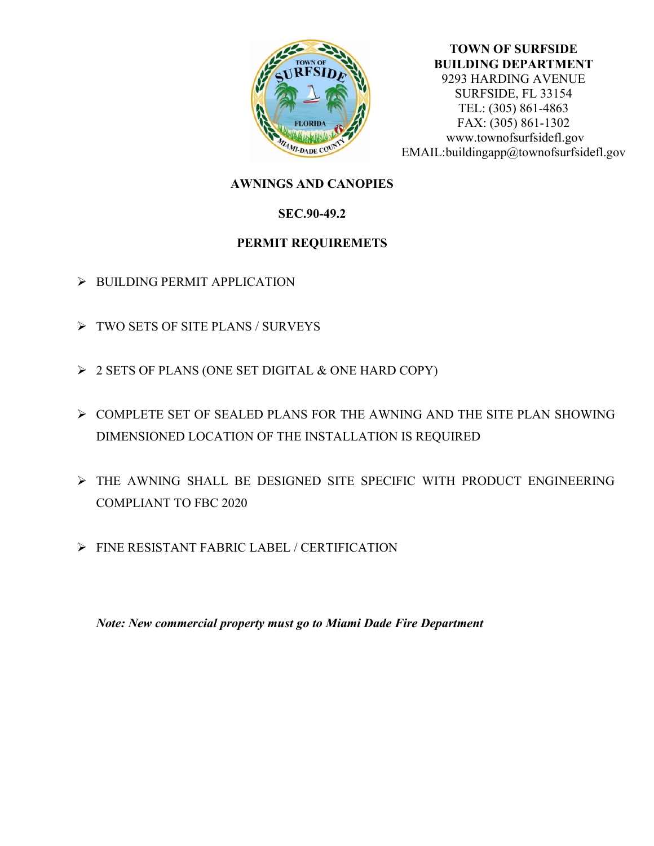

#### **TOWN OF SURFSIDE BUILDING DEPARTMENT**  9293 HARDING AVENUE SURFSIDE, FL 33154 TEL: (305) 861-4863 FAX: (305) 861-1302 www.townofsurfsidefl.gov EMAIL:buildingapp@townofsurfsidefl.gov

# **AWNINGS AND CANOPIES**

## **SEC.90-49.2**

## **PERMIT REQUIREMETS**

- ➢ BUILDING PERMIT APPLICATION
- ➢ TWO SETS OF SITE PLANS / SURVEYS
- ➢ 2 SETS OF PLANS (ONE SET DIGITAL & ONE HARD COPY)
- ➢ COMPLETE SET OF SEALED PLANS FOR THE AWNING AND THE SITE PLAN SHOWING DIMENSIONED LOCATION OF THE INSTALLATION IS REQUIRED
- ➢ THE AWNING SHALL BE DESIGNED SITE SPECIFIC WITH PRODUCT ENGINEERING COMPLIANT TO FBC 2020
- ➢ FINE RESISTANT FABRIC LABEL / CERTIFICATION

*Note: New commercial property must go to Miami Dade Fire Department*